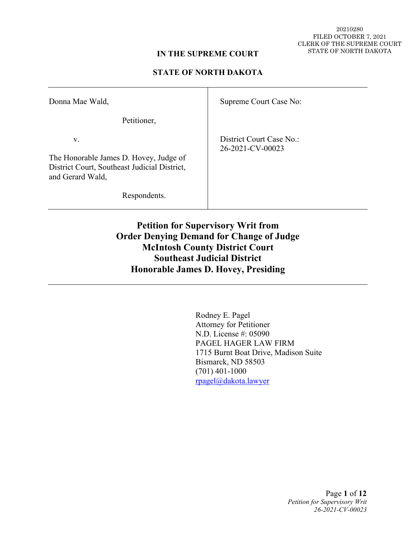20210280 FILED OCTOBER 7, 2021 CLERK OF THE SUPREME COURT STATE OF NORTH DAKOTA

### **IN THE SUPREME COURT**

### **STATE OF NORTH DAKOTA**

| Donna Mae Wald,                                                                                                  | Supreme Court Case No:                       |
|------------------------------------------------------------------------------------------------------------------|----------------------------------------------|
| Petitioner,                                                                                                      |                                              |
| V.<br>The Honorable James D. Hovey, Judge of<br>District Court, Southeast Judicial District,<br>and Gerard Wald, | District Court Case No.:<br>26-2021-CV-00023 |
| Respondents.                                                                                                     |                                              |

**Petition for Supervisory Writ from Order Denying Demand for Change of Judge McIntosh County District Court Southeast Judicial District Honorable James D. Hovey, Presiding**

> Rodney E. Pagel Attorney for Petitioner N.D. License #: 05090 PAGEL HAGER LAW FIRM 1715 Burnt Boat Drive, Madison Suite Bismarck, ND 58503 (701) 401-1000 [rpagel@dakota.lawyer](mailto:rpagel@dakota.lawyer)

> > Page **1** of **12** *Petition for Supervisory Writ 26-2021-CV-00023*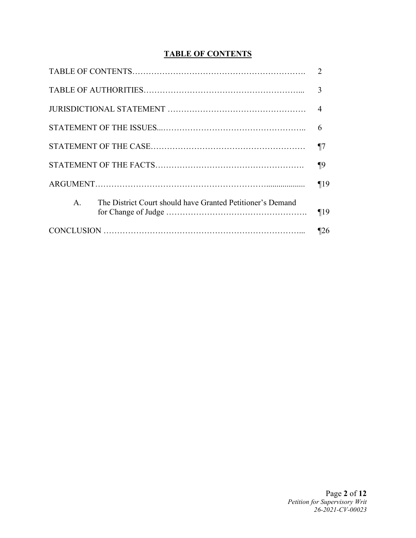# **TABLE OF CONTENTS**

| The District Court should have Granted Petitioner's Demand<br>$A_{\cdot}$ |  |
|---------------------------------------------------------------------------|--|
|                                                                           |  |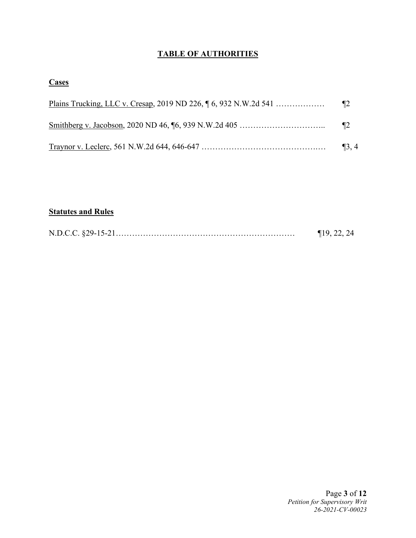# **TABLE OF AUTHORITIES**

## **Cases**

| $\P2$      |
|------------|
| $\P2$      |
| $\P_3$ , 4 |

# **Statutes and Rules**

|  | $\P$ 19, 22, 24 |
|--|-----------------|
|--|-----------------|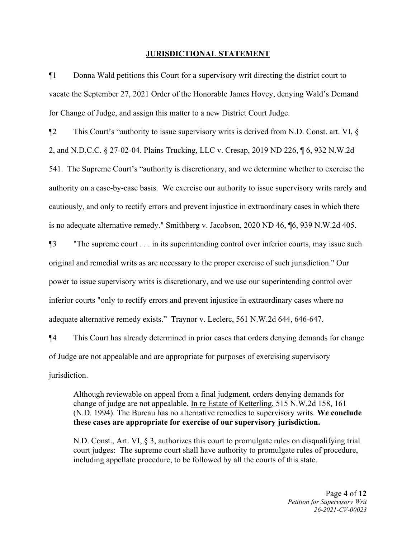#### **JURISDICTIONAL STATEMENT**

¶1 Donna Wald petitions this Court for a supervisory writ directing the district court to vacate the September 27, 2021 Order of the Honorable James Hovey, denying Wald's Demand for Change of Judge, and assign this matter to a new District Court Judge.

 $\P$ 2 This Court's "authority to issue supervisory writs is derived from N.D. Const. art. VI,  $\S$ 

2, and N.D.C.C. § 27-02-04. Plains Trucking, LLC v. Cresap, 2019 ND 226, ¶ 6, 932 N.W.2d

541. The Supreme Court's "authority is discretionary, and we determine whether to exercise the authority on a case-by-case basis. We exercise our authority to issue supervisory writs rarely and cautiously, and only to rectify errors and prevent injustice in extraordinary cases in which there is no adequate alternative remedy." Smithberg v. Jacobson, 2020 ND 46, ¶6, 939 N.W.2d 405.

¶3 "The supreme court . . . in its superintending control over inferior courts, may issue such original and remedial writs as are necessary to the proper exercise of such jurisdiction." Our power to issue supervisory writs is discretionary, and we use our superintending control over inferior courts "only to rectify errors and prevent injustice in extraordinary cases where no adequate alternative remedy exists." Traynor v. Leclerc, 561 N.W.2d 644, 646-647.

¶4 This Court has already determined in prior cases that orders denying demands for change of Judge are not appealable and are appropriate for purposes of exercising supervisory jurisdiction.

Although reviewable on appeal from a final judgment, orders denying demands for change of judge are not appealable. In re Estate of Ketterling, 515 N.W.2d 158, 161 (N.D. 1994). The Bureau has no alternative remedies to supervisory writs. **We conclude these cases are appropriate for exercise of our supervisory jurisdiction.**

N.D. Const., Art. VI, § 3, authorizes this court to promulgate rules on disqualifying trial court judges: The supreme court shall have authority to promulgate rules of procedure, including appellate procedure, to be followed by all the courts of this state.

> Page **4** of **12** *Petition for Supervisory Writ 26-2021-CV-00023*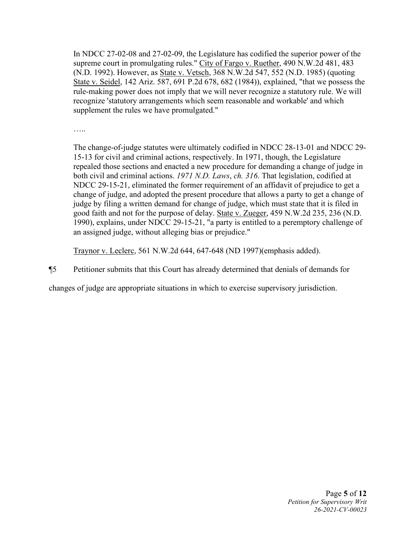In NDCC 27-02-08 and 27-02-09, the Legislature has codified the superior power of the supreme court in promulgating rules." City of Fargo v. Ruether, 490 N.W.2d 481, 483 (N.D. 1992). However, as State v. Vetsch, 368 N.W.2d 547, 552 (N.D. 1985) (quoting State v. Seidel, 142 Ariz. 587, 691 P.2d 678, 682 (1984)), explained, "that we possess the rule-making power does not imply that we will never recognize a statutory rule. We will recognize 'statutory arrangements which seem reasonable and workable' and which supplement the rules we have promulgated."

……

The change-of-judge statutes were ultimately codified in NDCC 28-13-01 and NDCC 29- 15-13 for civil and criminal actions, respectively. In 1971, though, the Legislature repealed those sections and enacted a new procedure for demanding a change of judge in both civil and criminal actions. *1971 N.D. Laws*, *ch. 316*. That legislation, codified at NDCC 29-15-21, eliminated the former requirement of an affidavit of prejudice to get a change of judge, and adopted the present procedure that allows a party to get a change of judge by filing a written demand for change of judge, which must state that it is filed in good faith and not for the purpose of delay. State v. Zueger, 459 N.W.2d 235, 236 (N.D. 1990), explains, under NDCC 29-15-21, "a party is entitled to a peremptory challenge of an assigned judge, without alleging bias or prejudice."

Traynor v. Leclerc, 561 N.W.2d 644, 647-648 (ND 1997)(emphasis added).

¶5 Petitioner submits that this Court has already determined that denials of demands for

changes of judge are appropriate situations in which to exercise supervisory jurisdiction.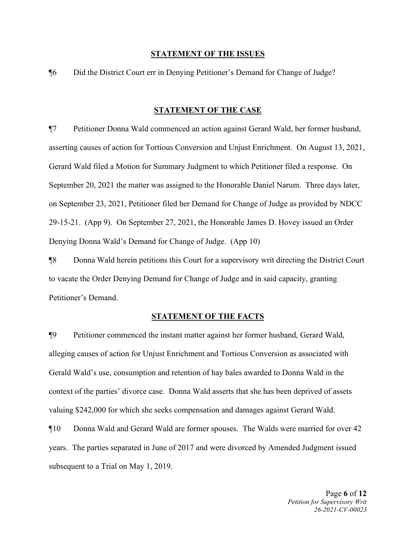#### **STATEMENT OF THE ISSUES**

¶6 Did the District Court err in Denying Petitioner's Demand for Change of Judge?

#### **STATEMENT OF THE CASE**

¶7 Petitioner Donna Wald commenced an action against Gerard Wald, her former husband, asserting causes of action for Tortious Conversion and Unjust Enrichment. On August 13, 2021, Gerard Wald filed a Motion for Summary Judgment to which Petitioner filed a response. On September 20, 2021 the matter was assigned to the Honorable Daniel Narum. Three days later, on September 23, 2021, Petitioner filed her Demand for Change of Judge as provided by NDCC 29-15-21. (App 9). On September 27, 2021, the Honorable James D. Hovey issued an Order Denying Donna Wald's Demand for Change of Judge. (App 10)

¶8 Donna Wald herein petitions this Court for a supervisory writ directing the District Court to vacate the Order Denying Demand for Change of Judge and in said capacity, granting Petitioner's Demand.

#### **STATEMENT OF THE FACTS**

¶9 Petitioner commenced the instant matter against her former husband, Gerard Wald, alleging causes of action for Unjust Enrichment and Tortious Conversion as associated with Gerald Wald's use, consumption and retention of hay bales awarded to Donna Wald in the context of the parties' divorce case. Donna Wald asserts that she has been deprived of assets valuing \$242,000 for which she seeks compensation and damages against Gerard Wald.

¶10 Donna Wald and Gerard Wald are former spouses. The Walds were married for over 42 years. The parties separated in June of 2017 and were divorced by Amended Judgment issued subsequent to a Trial on May 1, 2019.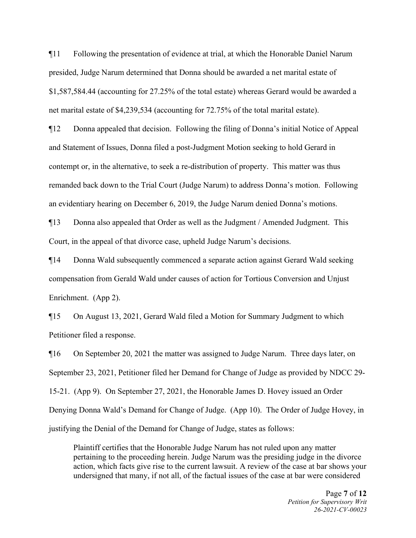¶11 Following the presentation of evidence at trial, at which the Honorable Daniel Narum presided, Judge Narum determined that Donna should be awarded a net marital estate of \$1,587,584.44 (accounting for 27.25% of the total estate) whereas Gerard would be awarded a net marital estate of \$4,239,534 (accounting for 72.75% of the total marital estate).

¶12 Donna appealed that decision. Following the filing of Donna's initial Notice of Appeal and Statement of Issues, Donna filed a post-Judgment Motion seeking to hold Gerard in contempt or, in the alternative, to seek a re-distribution of property. This matter was thus remanded back down to the Trial Court (Judge Narum) to address Donna's motion. Following an evidentiary hearing on December 6, 2019, the Judge Narum denied Donna's motions.

¶13 Donna also appealed that Order as well as the Judgment / Amended Judgment. This Court, in the appeal of that divorce case, upheld Judge Narum's decisions.

¶14 Donna Wald subsequently commenced a separate action against Gerard Wald seeking compensation from Gerald Wald under causes of action for Tortious Conversion and Unjust Enrichment. (App 2).

¶15 On August 13, 2021, Gerard Wald filed a Motion for Summary Judgment to which Petitioner filed a response.

¶16 On September 20, 2021 the matter was assigned to Judge Narum. Three days later, on September 23, 2021, Petitioner filed her Demand for Change of Judge as provided by NDCC 29- 15-21. (App 9). On September 27, 2021, the Honorable James D. Hovey issued an Order Denying Donna Wald's Demand for Change of Judge. (App 10). The Order of Judge Hovey, in justifying the Denial of the Demand for Change of Judge, states as follows:

Plaintiff certifies that the Honorable Judge Narum has not ruled upon any matter pertaining to the proceeding herein. Judge Narum was the presiding judge in the divorce action, which facts give rise to the current lawsuit. A review of the case at bar shows your undersigned that many, if not all, of the factual issues of the case at bar were considered

> Page **7** of **12** *Petition for Supervisory Writ 26-2021-CV-00023*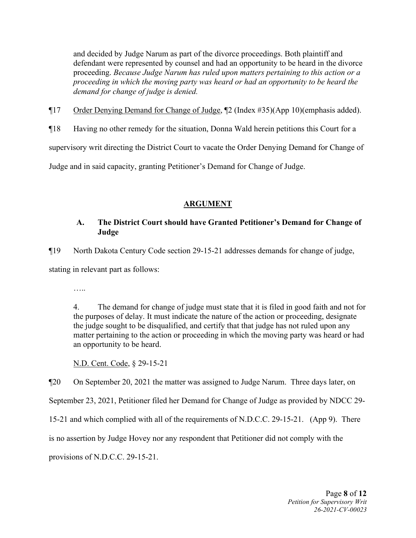and decided by Judge Narum as part of the divorce proceedings. Both plaintiff and defendant were represented by counsel and had an opportunity to be heard in the divorce proceeding. *Because Judge Narum has ruled upon matters pertaining to this action or a proceeding in which the moving party was heard or had an opportunity to be heard the demand for change of judge is denied.*

¶17 Order Denying Demand for Change of Judge, ¶2 (Index #35)(App 10)(emphasis added).

¶18 Having no other remedy for the situation, Donna Wald herein petitions this Court for a

supervisory writ directing the District Court to vacate the Order Denying Demand for Change of

Judge and in said capacity, granting Petitioner's Demand for Change of Judge.

## **ARGUMENT**

## **A. The District Court should have Granted Petitioner's Demand for Change of Judge**

¶19 North Dakota Century Code section 29-15-21 addresses demands for change of judge,

stating in relevant part as follows:

…..

4. The demand for change of judge must state that it is filed in good faith and not for the purposes of delay. It must indicate the nature of the action or proceeding, designate the judge sought to be disqualified, and certify that that judge has not ruled upon any matter pertaining to the action or proceeding in which the moving party was heard or had an opportunity to be heard.

N.D. Cent. Code, § 29-15-21

¶20 On September 20, 2021 the matter was assigned to Judge Narum. Three days later, on

September 23, 2021, Petitioner filed her Demand for Change of Judge as provided by NDCC 29-

15-21 and which complied with all of the requirements of N.D.C.C. 29-15-21. (App 9). There

is no assertion by Judge Hovey nor any respondent that Petitioner did not comply with the

provisions of N.D.C.C. 29-15-21.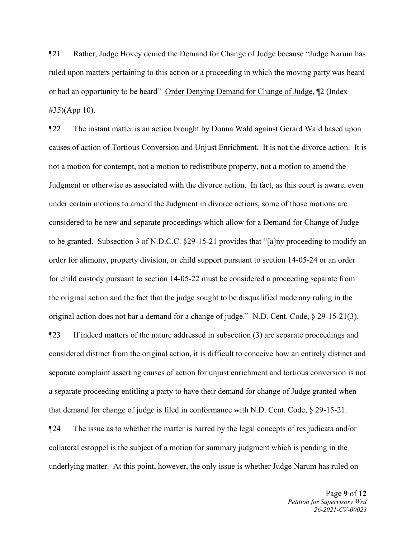¶21 Rather, Judge Hovey denied the Demand for Change of Judge because "Judge Narum has ruled upon matters pertaining to this action or a proceeding in which the moving party was heard or had an opportunity to be heard" Order Denying Demand for Change of Judge, ¶2 (Index #35)(App 10).

¶22 The instant matter is an action brought by Donna Wald against Gerard Wald based upon causes of action of Tortious Conversion and Unjust Enrichment. It is not the divorce action. It is not a motion for contempt, not a motion to redistribute property, not a motion to amend the Judgment or otherwise as associated with the divorce action. In fact, as this court is aware, even under certain motions to amend the Judgment in divorce actions, some of those motions are considered to be new and separate proceedings which allow for a Demand for Change of Judge to be granted. Subsection 3 of N.D.C.C. §29-15-21 provides that "[a]ny proceeding to modify an order for alimony, property division, or child support pursuant to section 14-05-24 or an order for child custody pursuant to section 14-05-22 must be considered a proceeding separate from the original action and the fact that the judge sought to be disqualified made any ruling in the original action does not bar a demand for a change of judge." N.D. Cent. Code, § 29-15-21(3).

¶23 If indeed matters of the nature addressed in subsection (3) are separate proceedings and considered distinct from the original action, it is difficult to conceive how an entirely distinct and separate complaint asserting causes of action for unjust enrichment and tortious conversion is not a separate proceeding entitling a party to have their demand for change of Judge granted when that demand for change of judge is filed in conformance with N.D. Cent. Code, § 29-15-21.

¶24 The issue as to whether the matter is barred by the legal concepts of res judicata and/or collateral estoppel is the subject of a motion for summary judgment which is pending in the underlying matter. At this point, however, the only issue is whether Judge Narum has ruled on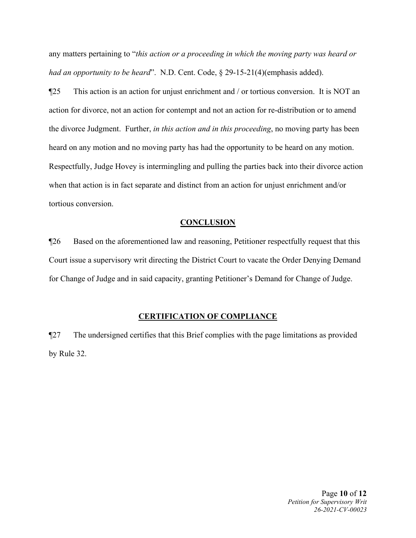any matters pertaining to "*this action or a proceeding in which the moving party was heard or had an opportunity to be heard*". N.D. Cent. Code, § 29-15-21(4)(emphasis added).

¶25 This action is an action for unjust enrichment and / or tortious conversion. It is NOT an action for divorce, not an action for contempt and not an action for re-distribution or to amend the divorce Judgment. Further, *in this action and in this proceeding*, no moving party has been heard on any motion and no moving party has had the opportunity to be heard on any motion. Respectfully, Judge Hovey is intermingling and pulling the parties back into their divorce action when that action is in fact separate and distinct from an action for unjust enrichment and/or tortious conversion.

#### **CONCLUSION**

¶26 Based on the aforementioned law and reasoning, Petitioner respectfully request that this Court issue a supervisory writ directing the District Court to vacate the Order Denying Demand for Change of Judge and in said capacity, granting Petitioner's Demand for Change of Judge.

### **CERTIFICATION OF COMPLIANCE**

¶27 The undersigned certifies that this Brief complies with the page limitations as provided by Rule 32.

> Page **10** of **12** *Petition for Supervisory Writ 26-2021-CV-00023*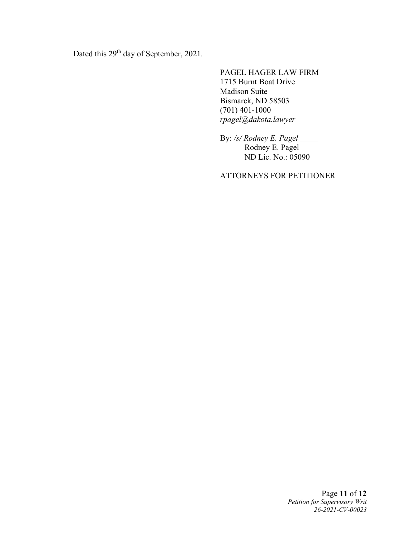Dated this 29<sup>th</sup> day of September, 2021.

PAGEL HAGER LAW FIRM 1715 Burnt Boat Drive Madison Suite Bismarck, ND 58503 (701) 401-1000 *rpagel@dakota.lawyer*

By: */s/ Rodney E. Pagel*

Rodney E. Pagel ND Lic. No.: 05090

ATTORNEYS FOR PETITIONER

Page **11** of **12** *Petition for Supervisory Writ 26-2021-CV-00023*